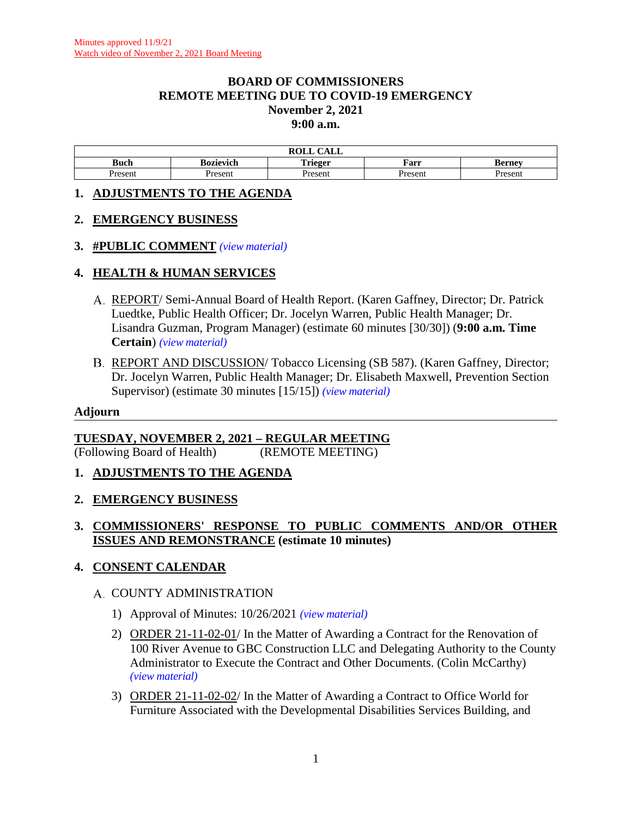#### **BOARD OF COMMISSIONERS REMOTE MEETING DUE TO COVID-19 EMERGENCY November 2, 2021 9:00 a.m.**

|                   |                  | $\sim$<br>. <del>.</del> .<br>$\mathbf{m} \wedge \mathbf{r}$<br>САЫЛ<br>WATH |         |        |
|-------------------|------------------|------------------------------------------------------------------------------|---------|--------|
| Buch              | <b>Bozievich</b> |                                                                              | Farr    | Berney |
| Jrocont<br>- усп. | resent           | Jrocon                                                                       | Present | Jracan |

### **1. ADJUSTMENTS TO THE AGENDA**

### **2. EMERGENCY BUSINESS**

### **3. #PUBLIC COMMENT** *(view [material\)](http://www.lanecountyor.gov/UserFiles/Servers/Server_3585797/File/Government/BCC/2021/2021_AGENDAS/110221agenda/T.3.pdf)*

### **4. HEALTH & HUMAN SERVICES**

- REPORT/ Semi-Annual Board of Health Report. (Karen Gaffney, Director; Dr. Patrick Luedtke, Public Health Officer; Dr. Jocelyn Warren, Public Health Manager; Dr. Lisandra Guzman, Program Manager) (estimate 60 minutes [30/30]) (**9:00 a.m. Time Certain**) *(view [material\)](http://www.lanecountyor.gov/UserFiles/Servers/Server_3585797/File/Government/BCC/2021/2021_AGENDAS/110221agenda/T.4.A.pdf)*
- B. REPORT AND DISCUSSION/Tobacco Licensing (SB 587). (Karen Gaffney, Director; Dr. Jocelyn Warren, Public Health Manager; Dr. Elisabeth Maxwell, Prevention Section Supervisor) (estimate 30 minutes [15/15]) *(view [material\)](http://www.lanecountyor.gov/UserFiles/Servers/Server_3585797/File/Government/BCC/2021/2021_AGENDAS/110221agenda/T.4.B.pdf)*

#### **Adjourn**

## **TUESDAY, NOVEMBER 2, 2021 – REGULAR MEETING**

(Following Board of Health) (REMOTE MEETING)

- **1. ADJUSTMENTS TO THE AGENDA**
- **2. EMERGENCY BUSINESS**

## **3. COMMISSIONERS' RESPONSE TO PUBLIC COMMENTS AND/OR OTHER ISSUES AND REMONSTRANCE (estimate 10 minutes)**

## **4. CONSENT CALENDAR**

#### A. COUNTY ADMINISTRATION

- 1) Approval of Minutes: 10/26/2021 *(view [material\)](http://www.lanecountyor.gov/UserFiles/Servers/Server_3585797/File/Government/BCC/2021/2021_AGENDAS/110221agenda/T.4.A.1.pdf)*
- 2) ORDER 21-11-02-01/ In the Matter of Awarding a Contract for the Renovation of 100 River Avenue to GBC Construction LLC and Delegating Authority to the County Administrator to Execute the Contract and Other Documents. (Colin McCarthy) *(view [material\)](http://www.lanecountyor.gov/UserFiles/Servers/Server_3585797/File/Government/BCC/2021/2021_AGENDAS/110221agenda/T.4.A.2.pdf)*
- 3) ORDER 21-11-02-02/ In the Matter of Awarding a Contract to Office World for Furniture Associated with the Developmental Disabilities Services Building, and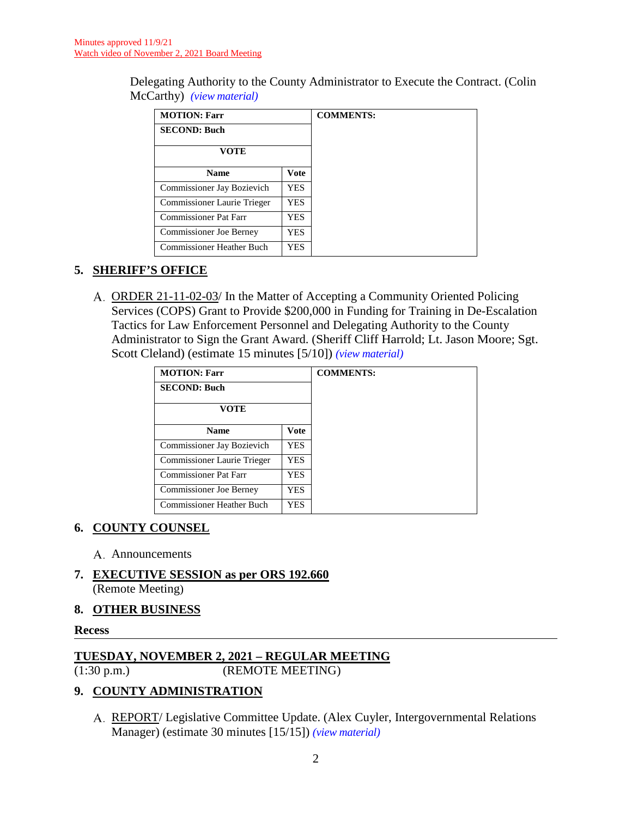Delegating Authority to the County Administrator to Execute the Contract. (Colin McCarthy) *(view [material\)](http://www.lanecountyor.gov/UserFiles/Servers/Server_3585797/File/Government/BCC/2021/2021_AGENDAS/110221agenda/T.4.A.3.pdf)*

| <b>MOTION: Farr</b>            |             | <b>COMMENTS:</b> |
|--------------------------------|-------------|------------------|
| <b>SECOND: Buch</b>            |             |                  |
| VOTE                           |             |                  |
| <b>Name</b>                    | <b>Vote</b> |                  |
| Commissioner Jay Bozievich     | YES.        |                  |
| Commissioner Laurie Trieger    | YES.        |                  |
| <b>Commissioner Pat Farr</b>   | YES         |                  |
| <b>Commissioner Joe Berney</b> | YES         |                  |
| Commissioner Heather Buch      | YES         |                  |

# **5. SHERIFF'S OFFICE**

A. ORDER 21-11-02-03/ In the Matter of Accepting a Community Oriented Policing Services (COPS) Grant to Provide \$200,000 in Funding for Training in De-Escalation Tactics for Law Enforcement Personnel and Delegating Authority to the County Administrator to Sign the Grant Award. (Sheriff Cliff Harrold; Lt. Jason Moore; Sgt. Scott Cleland) (estimate 15 minutes [5/10]) *(view [material\)](http://www.lanecountyor.gov/UserFiles/Servers/Server_3585797/File/Government/BCC/2021/2021_AGENDAS/110221agenda/T.5.A.pdf)*

| <b>MOTION: Farr</b>              |             |
|----------------------------------|-------------|
| <b>SECOND: Buch</b>              |             |
| VOTE                             |             |
| <b>Name</b>                      | <b>Vote</b> |
| Commissioner Jay Bozievich       | <b>YES</b>  |
| Commissioner Laurie Trieger      | <b>YES</b>  |
| Commissioner Pat Farr            | <b>YES</b>  |
| Commissioner Joe Berney          | <b>YES</b>  |
| <b>Commissioner Heather Buch</b> | <b>YES</b>  |

# **6. COUNTY COUNSEL**

- A. Announcements
- **7. EXECUTIVE SESSION as per ORS 192.660** (Remote Meeting)

#### **8. OTHER BUSINESS**

#### **Recess**

## **TUESDAY, NOVEMBER 2, 2021 – REGULAR MEETING**

(1:30 p.m.) (REMOTE MEETING)

## **9. COUNTY ADMINISTRATION**

REPORT/ Legislative Committee Update. (Alex Cuyler, Intergovernmental Relations Manager) (estimate 30 minutes [15/15]) *(view [material\)](http://www.lanecountyor.gov/UserFiles/Servers/Server_3585797/File/Government/BCC/2021/2021_AGENDAS/110221agenda/T.9.A.pdf)*